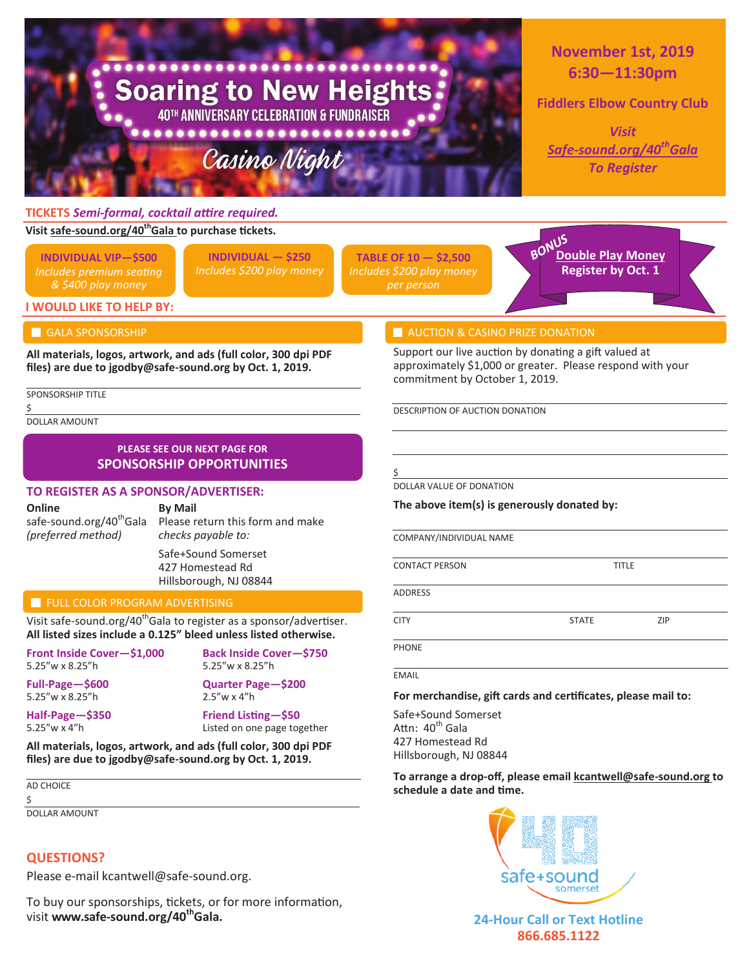

To buy our sponsorships, tickets, or for more information, visit **www.safe-sound.org/40thGala.**

# **24-Hour Call or Text Hotline 866.685.1122**